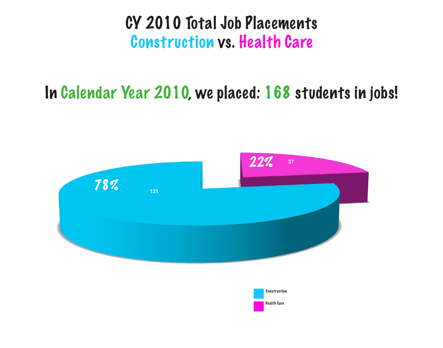### CY 2010 Total Job Placements Construction vs. Health Care





Health Care

## In Calendar Year 2010, we placed: 168 students in jobs!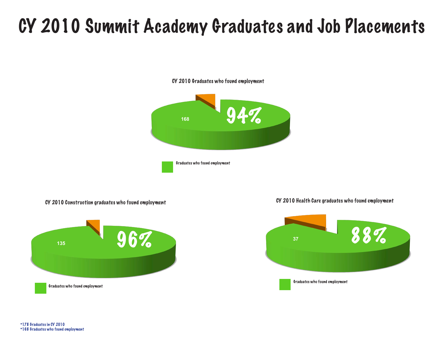# CY 2010 Summit Academy Graduates and Job Placements

CY 2010 Graduates who found employment

### CY 2010 Construction graduates who found employment CY 2010 Health Care graduates who found employment







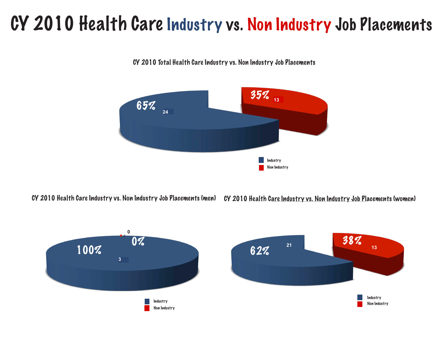# CY 2010 Health Care Industry vs. Non Industry Job Placements

CY 2010 Health Care Industry vs. Non Industry Job Placements (men) CY 2010 Health Care Industry vs. Non Industry Job Placements (women)









CY 2010 Total Health Care Industry vs. Non Industry Job Placements